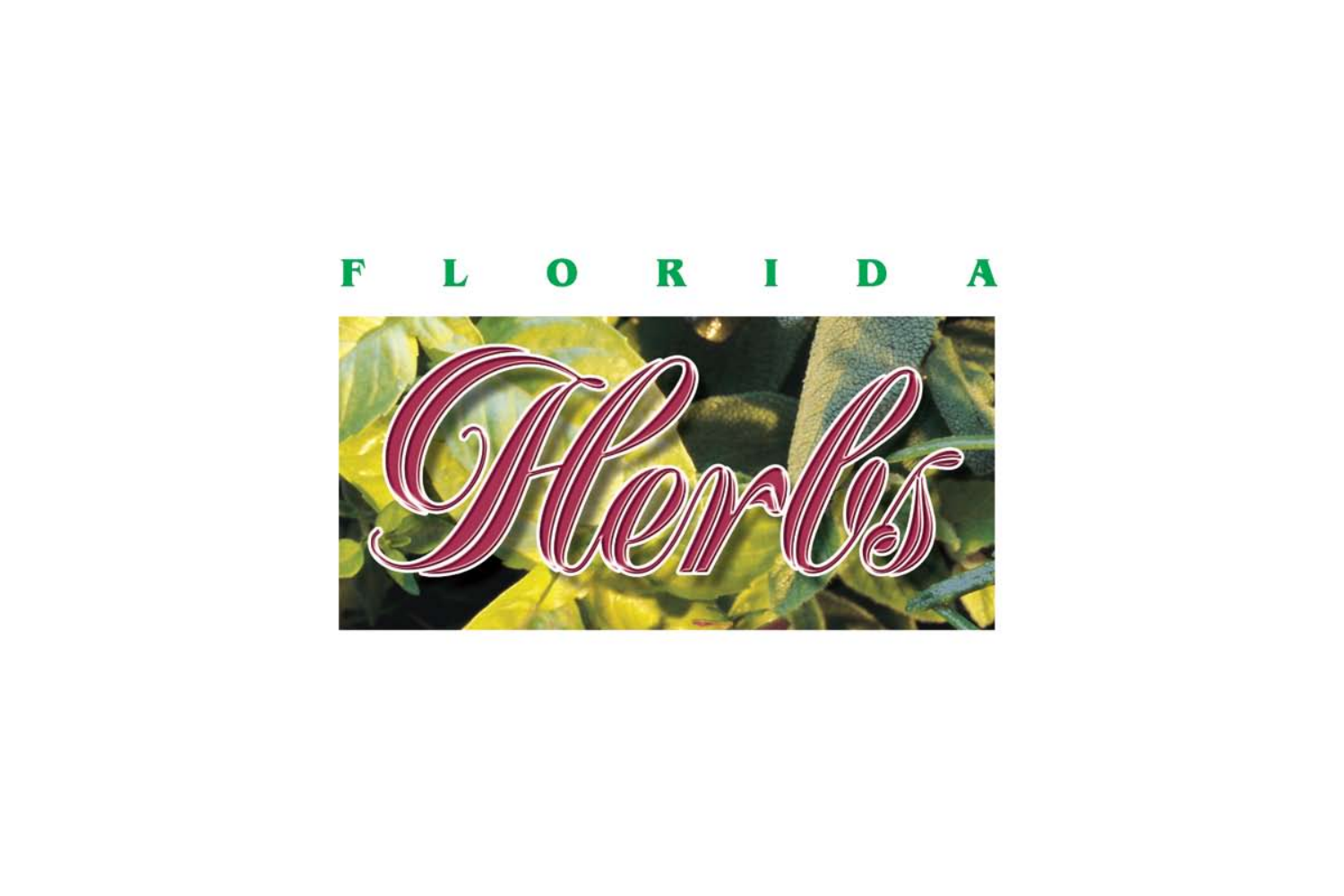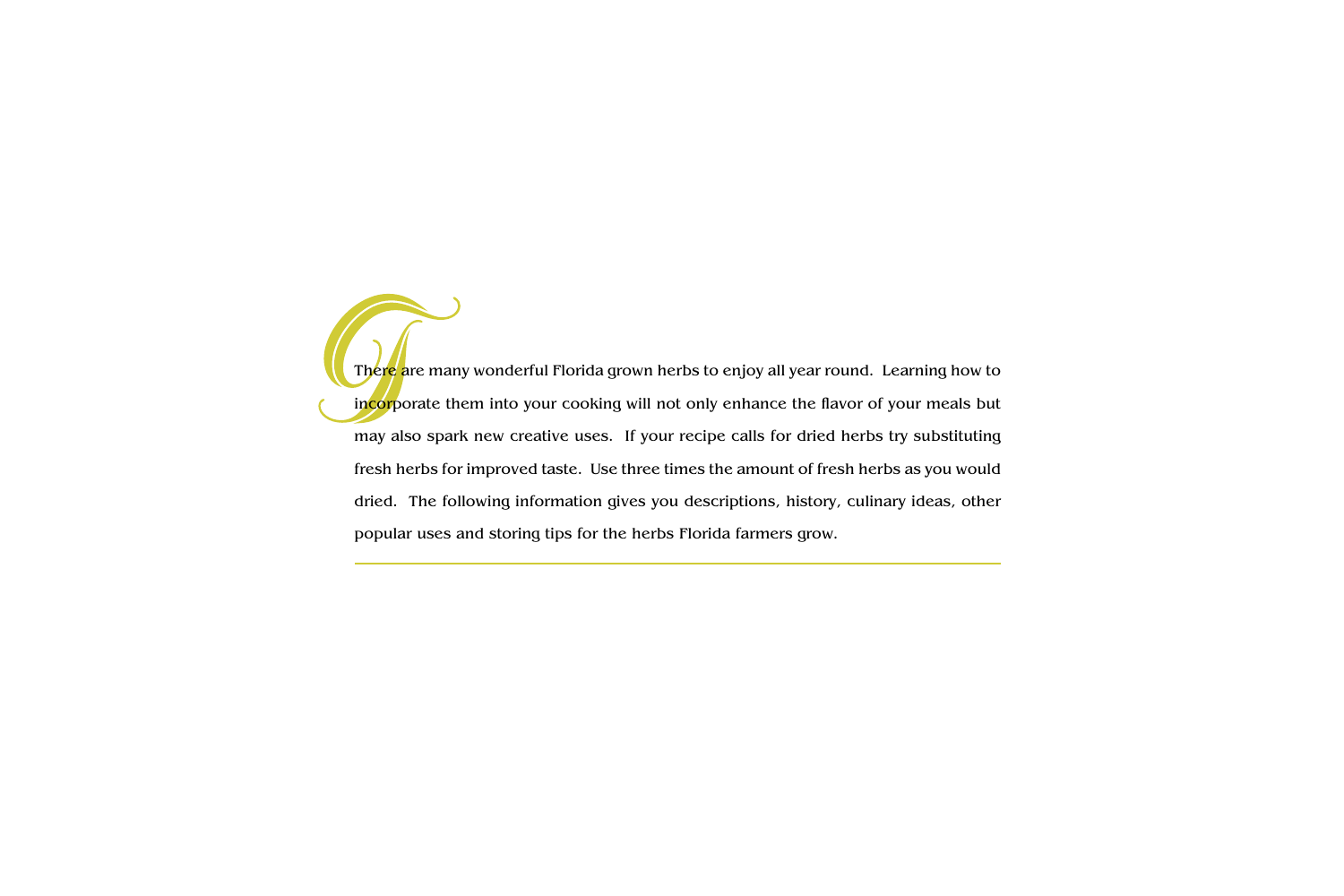There are many wonderful Florida grown herbs to enjoy all year round. Learning how to incorporate them into your cooking will not only enhance the flavor of your meals but may also spark new creative uses. If your recipe calls for dried herbs try substituting fresh herbs for improved taste. Use three times the amount of fresh herbs as you would dried. The following information gives you descriptions, history, culinary ideas, other popular uses and storing tips for the herbs Florida farmers grow.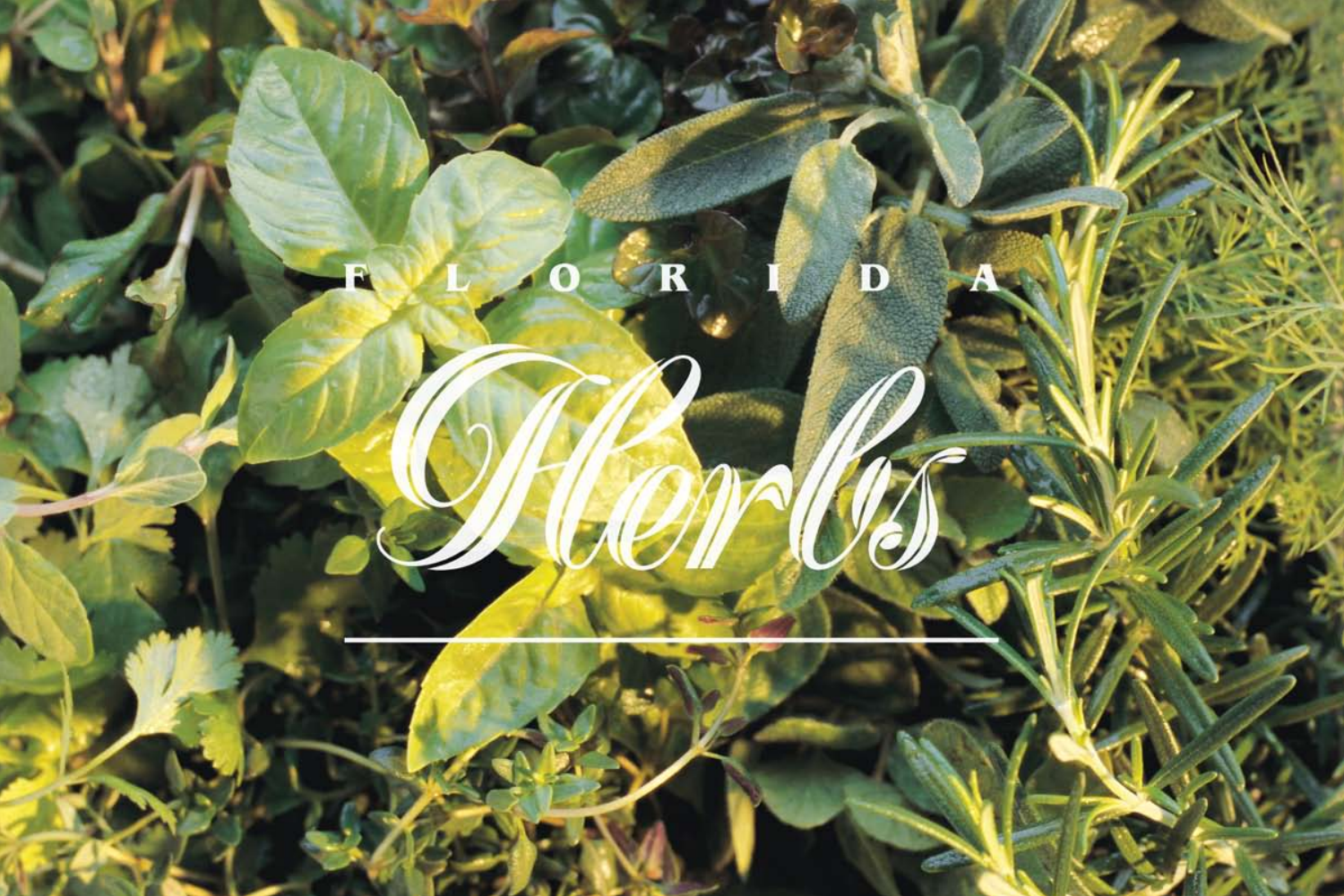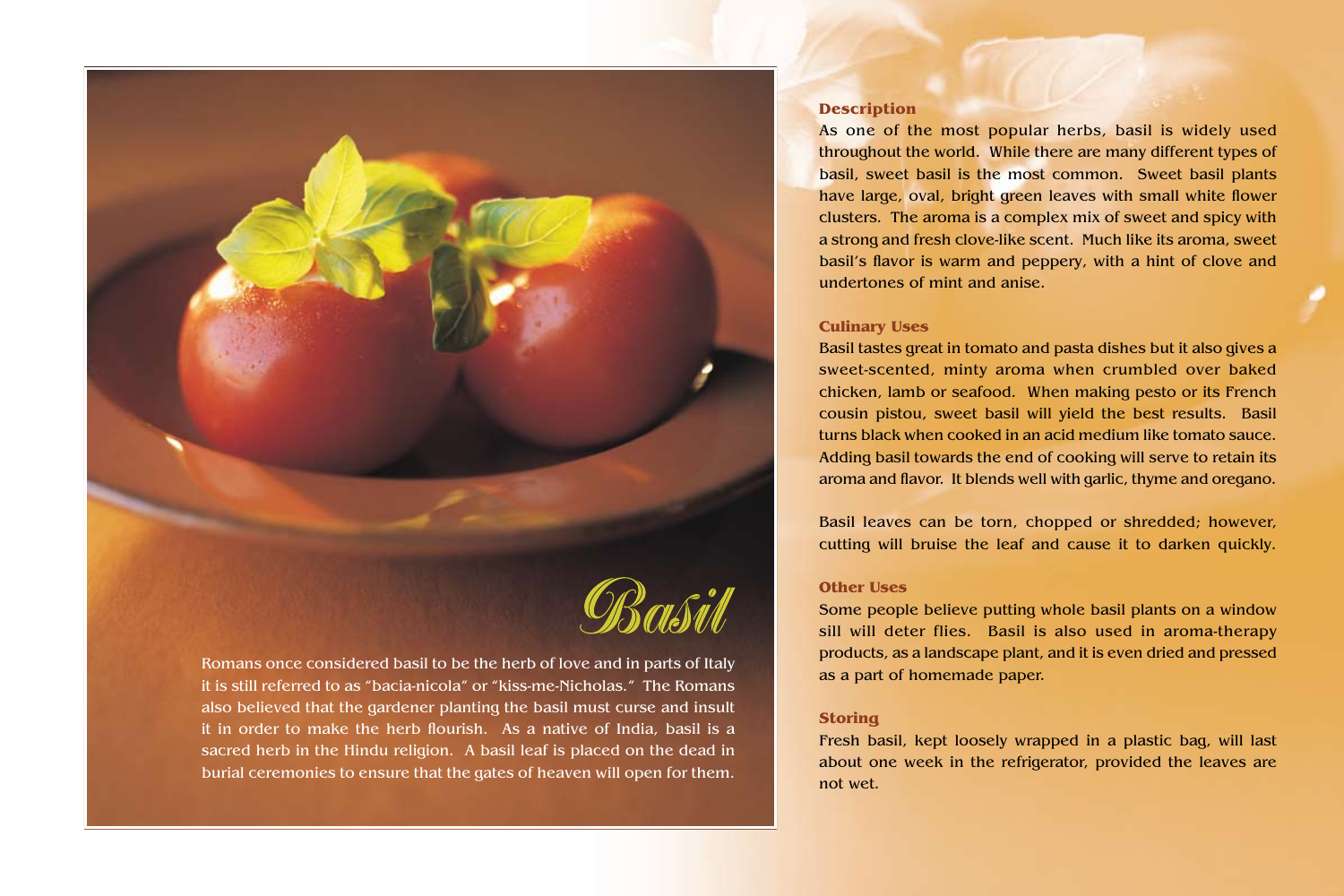

Romans once considered basil to be the herb of love and in parts of Italy it is still referred to as "bacia-nicola" or "kiss-me-Nicholas." The Romans also believed that the gardener planting the basil must curse and insult it in order to make the herb flourish. As a native of India, basil is a sacred herb in the Hindu religion. A basil leaf is placed on the dead in burial ceremonies to ensure that the gates of heaven will open for them.

## **Description**

As one of the most popular herbs, basil is widely used throughout the world. While there are many different types of basil, sweet basil is the most common. Sweet basil plants have large, oval, bright green leaves with small white flower clusters. The aroma is a complex mix of sweet and spicy with a strong and fresh clove-like scent. Much like its aroma, sweet basil's flavor is warm and peppery, with a hint of clove and undertones of mint and anise.

#### **Culinary Uses**

Basil tastes great in tomato and pasta dishes but it also gives a sweet-scented, minty aroma when crumbled over baked chicken, lamb or seafood. When making pesto or its French cousin pistou, sweet basil will yield the best results. Basil turns black when cooked in an acid medium like tomato sauce. Adding basil towards the end of cooking will serve to retain its aroma and flavor. It blends well with garlic, thyme and oregano.

Basil leaves can be torn, chopped or shredded; however, cutting will bruise the leaf and cause it to darken quickly.

## **Other Uses**

Some people believe putting whole basil plants on a window sill will deter flies. Basil is also used in aroma-therapy products, as a landscape plant, and it is even dried and pressed as a part of homemade paper.

### **Storing**

Fresh basil, kept loosely wrapped in a plastic bag, will last about one week in the refrigerator, provided the leaves are not wet.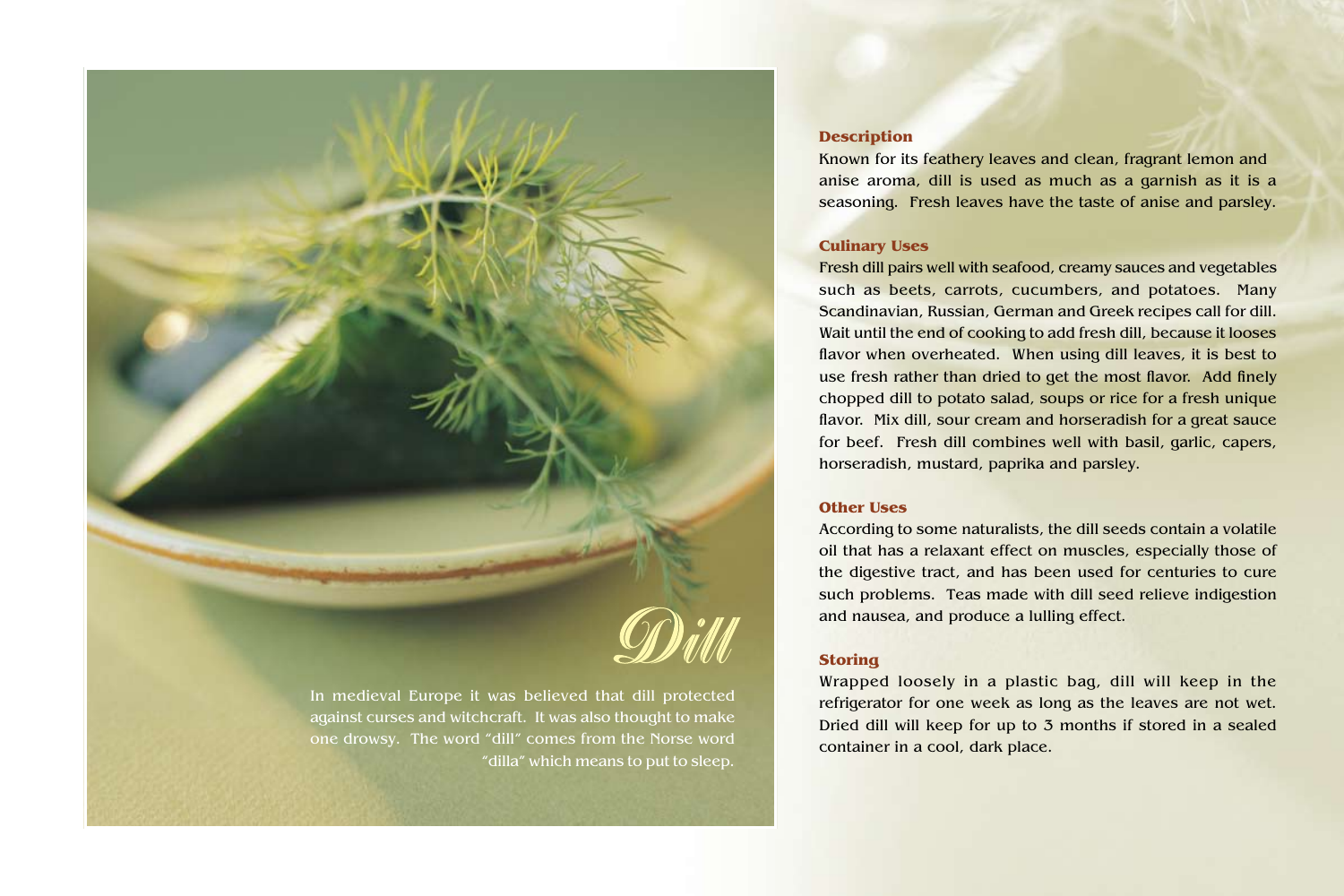

In medieval Europe it was believed that dill protected against curses and witchcraft. It was also thought to make one drowsy. The word "dill" comes from the Norse word "dilla" which means to put to sleep.

# **Description**

Known for its feathery leaves and clean, fragrant lemon and anise aroma, dill is used as much as a garnish as it is a seasoning. Fresh leaves have the taste of anise and parsley.

### **Culinary Uses**

Fresh dill pairs well with seafood, creamy sauces and vegetables such as beets, carrots, cucumbers, and potatoes. Many Scandinavian, Russian, German and Greek recipes call for dill. Wait until the end of cooking to add fresh dill, because it looses flavor when overheated. When using dill leaves, it is best to use fresh rather than dried to get the most flavor. Add finely chopped dill to potato salad, soups or rice for a fresh unique flavor. Mix dill, sour cream and horseradish for a great sauce for beef. Fresh dill combines well with basil, garlic, capers, horseradish, mustard, paprika and parsley.

# **Other Uses**

According to some naturalists, the dill seeds contain a volatile oil that has a relaxant effect on muscles, especially those of the digestive tract, and has been used for centuries to cure such problems. Teas made with dill seed relieve indigestion and nausea, and produce a lulling effect.

## **Storing**

Wrapped loosely in a plastic bag, dill will keep in the refrigerator for one week as long as the leaves are not wet. Dried dill will keep for up to 3 months if stored in a sealed container in a cool, dark place.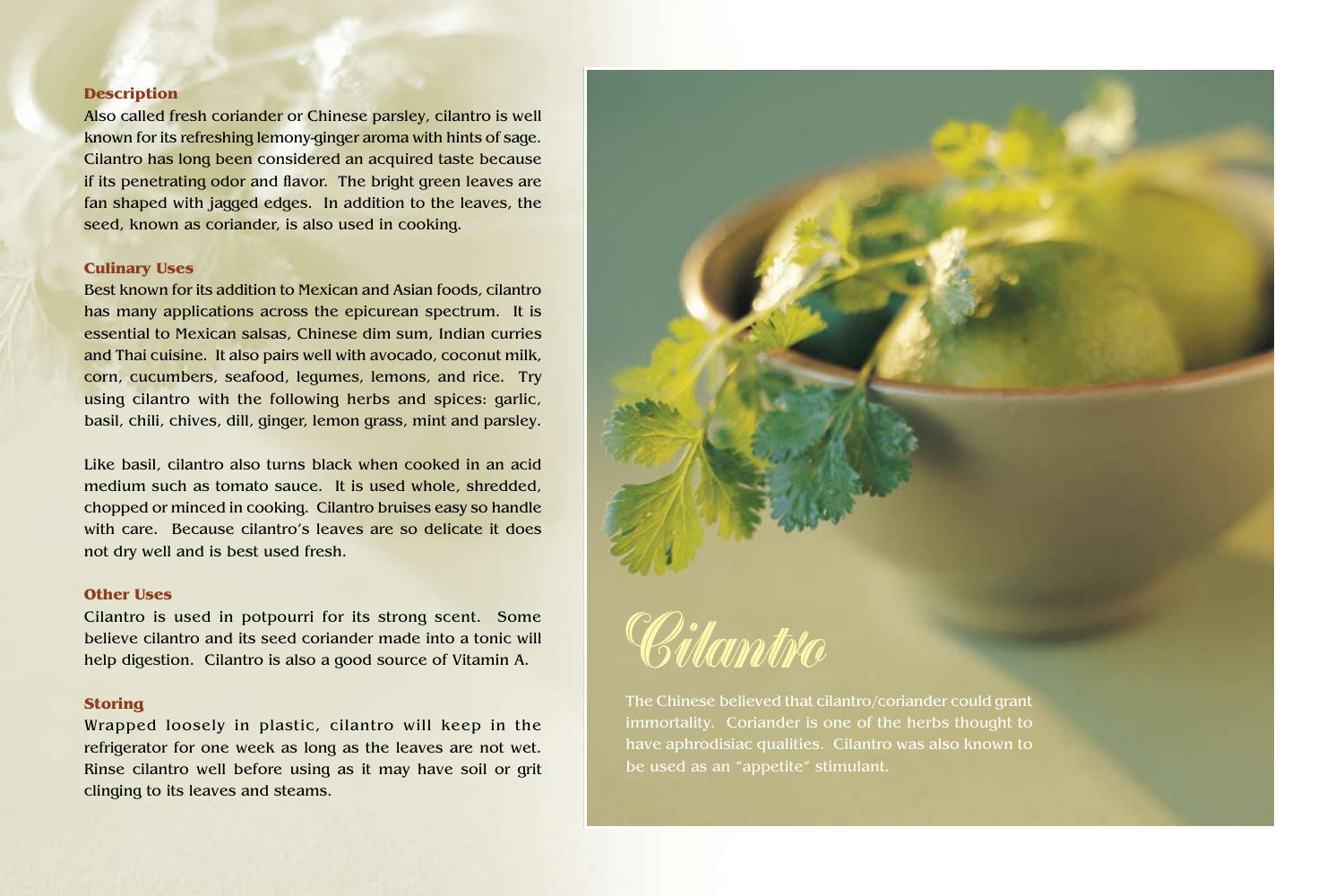Also called fresh coriander or Chinese parsley, cilantro is well known for its refreshing lemony-ginger aroma with hints of sage. Cilantro has long been considered an acquired taste because if its penetrating odor and flavor. The bright green leaves are fan shaped with jagged edges. In addition to the leaves, the seed, known as coriander, is also used in cooking.

#### **Culinary Uses**

Best known for its addition to Mexican and Asian foods, cilantro has many applications across the epicurean spectrum. It is essential to Mexican salsas, Chinese dim sum, Indian curries and Thai cuisine. It also pairs well with avocado, coconut milk, corn, cucumbers, seafood, legumes, lemons, and rice. Try using cilantro with the following herbs and spices: garlic, basil, chili, chives, dill, ginger, lemon grass, mint and parsley.

Like basil, cilantro also turns black when cooked in an acid medium such as tomato sauce. It is used whole, shredded, chopped or minced in cooking. Cilantro bruises easy so handle with care. Because cilantro's leaves are so delicate it does not dry well and is best used fresh.

#### **Other Uses**

Cilantro is used in potpourri for its strong scent. Some believe cilantro and its seed coriander made into a tonic will help digestion. Cilantro is also a good source of Vitamin A.

#### **Storing**

Wrapped loosely in plastic, cilantro will keep in the refrigerator for one week as long as the leaves are not wet. Rinse cilantro well before using as it may have soil or grit clinging to its leaves and steams.



The Chinese believed that cilantro/coriander could grant immortality. Coriander is one of the herbs thought to have aphrodisiac qualities. Cilantro was also known to be used as an "appetite" stimulant.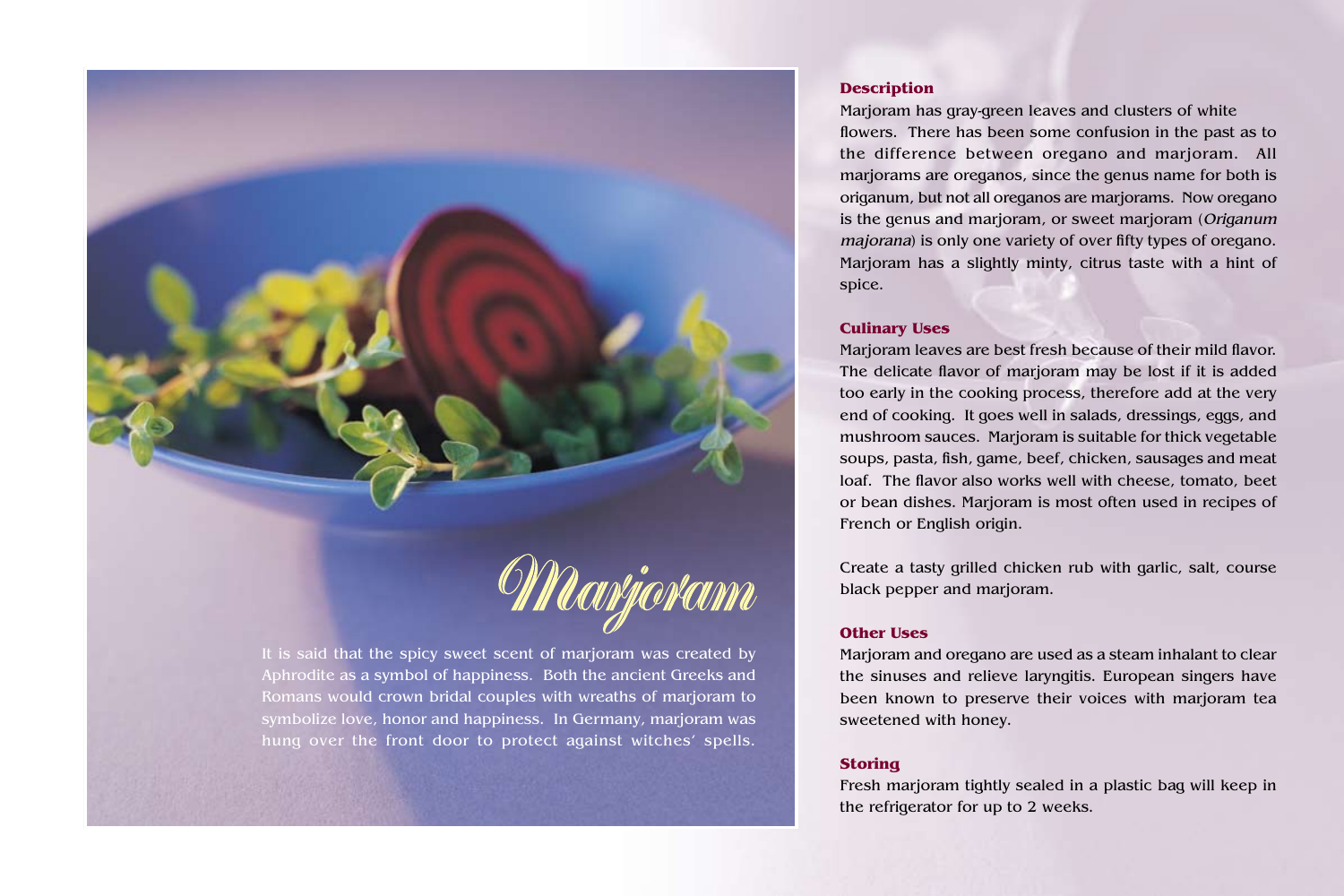

It is said that the spicy sweet scent of marjoram was created by Aphrodite as a symbol of happiness. Both the ancient Greeks and Romans would crown bridal couples with wreaths of marjoram to symbolize love, honor and happiness. In Germany, marjoram was hung over the front door to protect against witches' spells.

# **Description**

Marjoram has gray-green leaves and clusters of white flowers. There has been some confusion in the past as to the difference between oregano and marjoram. All marjorams are oreganos, since the genus name for both is origanum, but not all oreganos are marjorams. Now oregano is the genus and marjoram, or sweet marjoram (Origanum majorana) is only one variety of over fifty types of oregano. Marjoram has a slightly minty, citrus taste with a hint of spice.

## **Culinary Uses**

Marjoram leaves are best fresh because of their mild flavor. The delicate flavor of marjoram may be lost if it is added too early in the cooking process, therefore add at the very end of cooking. It goes well in salads, dressings, eggs, and mushroom sauces. Marjoram is suitable for thick vegetable soups, pasta, fish, game, beef, chicken, sausages and meat loaf. The flavor also works well with cheese, tomato, beet or bean dishes. Marjoram is most often used in recipes of French or English origin.

Create a tasty grilled chicken rub with garlic, salt, course black pepper and marjoram.

# **Other Uses**

Marjoram and oregano are used as a steam inhalant to clear the sinuses and relieve laryngitis. European singers have been known to preserve their voices with marjoram tea sweetened with honey.

# **Storing**

Fresh marjoram tightly sealed in a plastic bag will keep in the refrigerator for up to 2 weeks.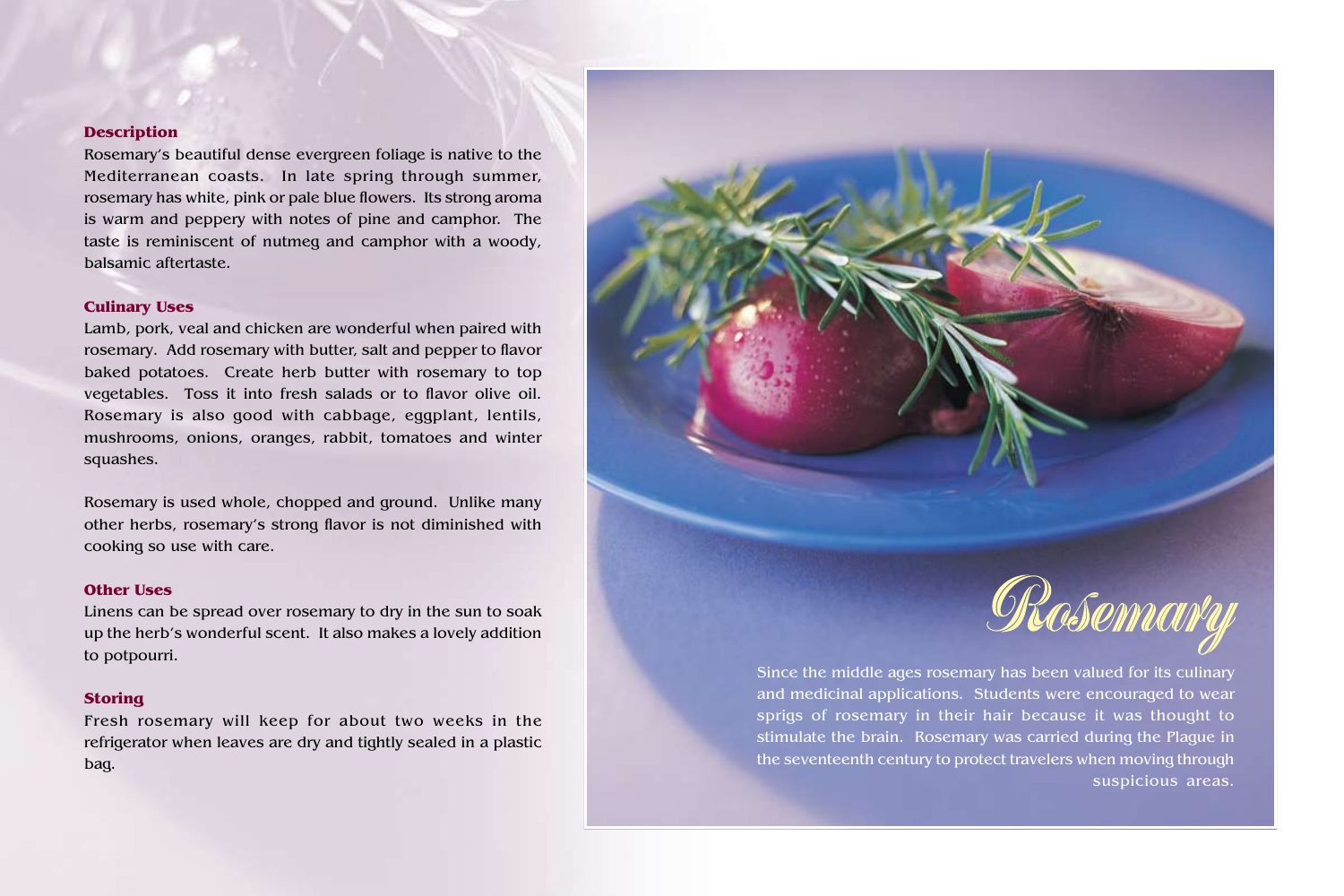Rosemary's beautiful dense evergreen foliage is native to the Mediterranean coasts. In late spring through summer, rosemary has white, pink or pale blue flowers. Its strong aroma is warm and peppery with notes of pine and camphor. The taste is reminiscent of nutmeg and camphor with a woody, balsamic aftertaste.

## **Culinary Uses**

Lamb, pork, veal and chicken are wonderful when paired with rosemary. Add rosemary with butter, salt and pepper to flavor baked potatoes. Create herb butter with rosemary to top vegetables. Toss it into fresh salads or to flavor olive oil. Rosemary is also good with cabbage, eggplant, lentils, mushrooms, onions, oranges, rabbit, tomatoes and winter squashes.

Rosemary is used whole, chopped and ground. Unlike many other herbs, rosemary's strong flavor is not diminished with cooking so use with care.

#### **Other Uses**

Linens can be spread over rosemary to dry in the sun to soak up the herb's wonderful scent. It also makes a lovely addition to potpourri.

#### **Storing**

Fresh rosemary will keep for about two weeks in the refrigerator when leaves are dry and tightly sealed in a plastic bag.



Since the middle ages rosemary has been valued for its culinary and medicinal applications. Students were encouraged to wear sprigs of rosemary in their hair because it was thought to stimulate the brain. Rosemary was carried during the Plague in the seventeenth century to protect travelers when moving through suspicious areas.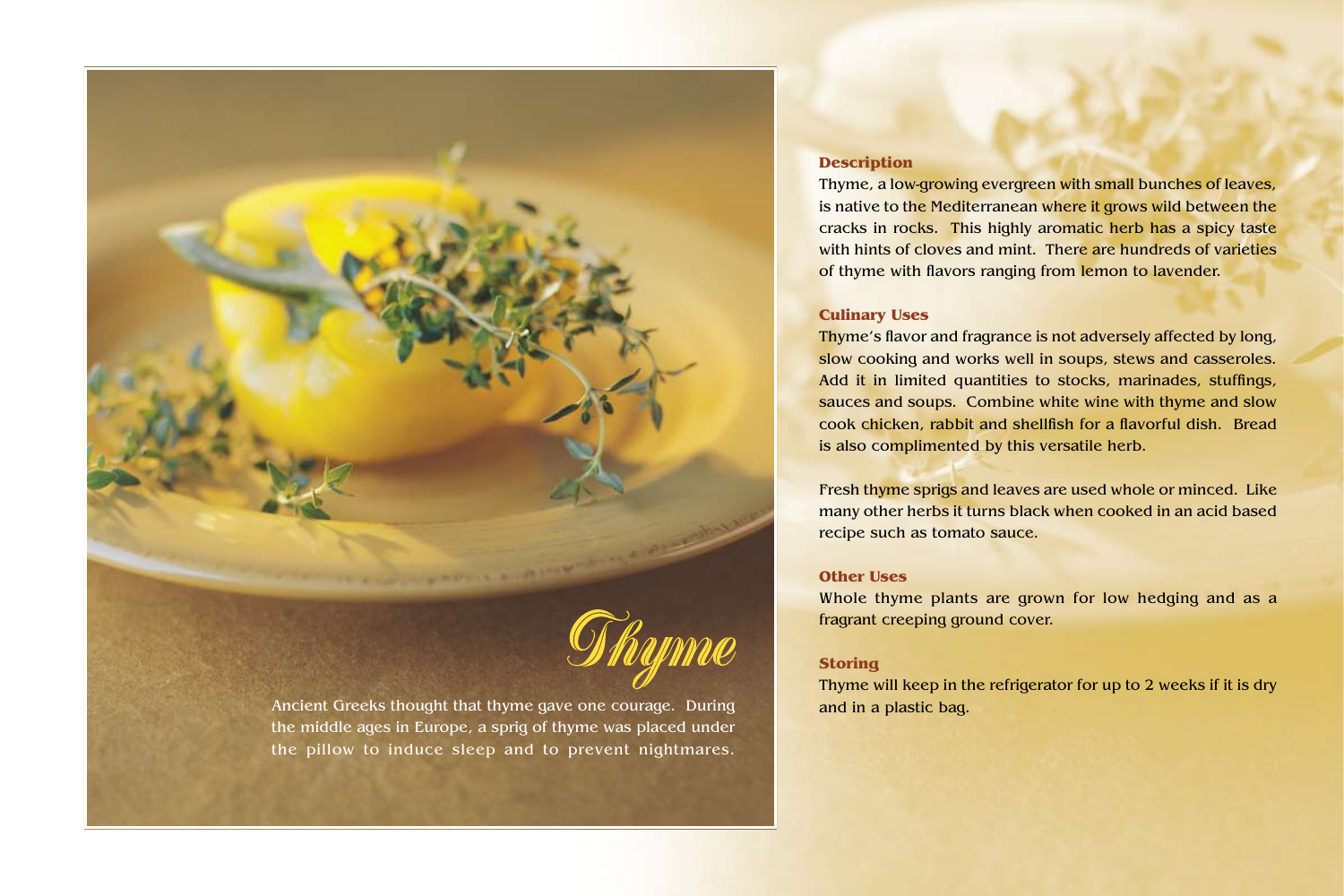

Ancient Greeks thought that thyme gave one courage. During and in a plastic bag. the middle ages in Europe, a sprig of thyme was placed under the pillow to induce sleep and to prevent nightmares.

# **Description**

Thyme, a low-growing evergreen with small bunches of leaves, is native to the Mediterranean where it grows wild between the cracks in rocks. This highly aromatic herb has a spicy taste with hints of cloves and mint. There are hundreds of varieties of thyme with flavors ranging from lemon to lavender.

## **Culinary Uses**

Thyme's flavor and fragrance is not adversely affected by long, slow cooking and works well in soups, stews and casseroles. Add it in limited quantities to stocks, marinades, stuffings, sauces and soups. Combine white wine with thyme and slow cook chicken, rabbit and shellfish for a flavorful dish. Bread is also complimented by this versatile herb.

Fresh thyme sprigs and leaves are used whole or minced. Like many other herbs it turns black when cooked in an acid based recipe such as tomato sauce.

# **Other Uses**

Whole thyme plants are grown for low hedging and as a fragrant creeping ground cover.

# **Storing**

Thyme will keep in the refrigerator for up to 2 weeks if it is dry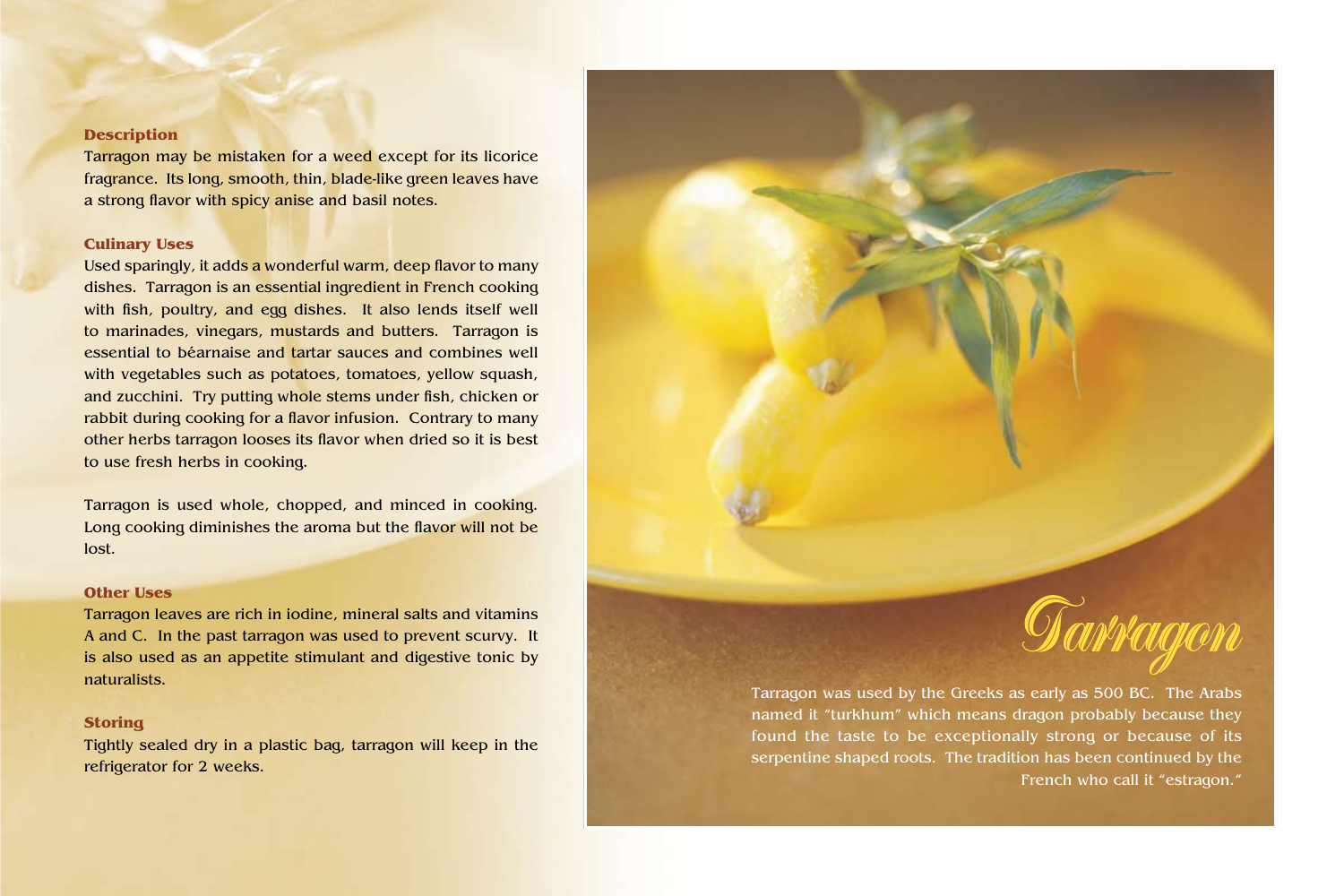Tarragon may be mistaken for a weed except for its licorice fragrance. Its long, smooth, thin, blade-like green leaves have a strong flavor with spicy anise and basil notes.

### **Culinary Uses**

Used sparingly, it adds a wonderful warm, deep flavor to many dishes. Tarragon is an essential ingredient in French cooking with fish, poultry, and egg dishes. It also lends itself well to marinades, vinegars, mustards and butters. Tarragon is essential to béarnaise and tartar sauces and combines well with vegetables such as potatoes, tomatoes, yellow squash, and zucchini. Try putting whole stems under fish, chicken or rabbit during cooking for a flavor infusion. Contrary to many other herbs tarragon looses its flavor when dried so it is best to use fresh herbs in cooking.

Tarragon is used whole, chopped, and minced in cooking. Long cooking diminishes the aroma but the flavor will not be lost.

#### **Other Uses**

Tarragon leaves are rich in iodine, mineral salts and vitamins A and C. In the past tarragon was used to prevent scurvy. It is also used as an appetite stimulant and digestive tonic by naturalists.

#### **Storing**

Tightly sealed dry in a plastic bag, tarragon will keep in the refrigerator for 2 weeks.



Tarragon was used by the Greeks as early as 500 BC. The Arabs named it "turkhum" which means dragon probably because they found the taste to be exceptionally strong or because of its serpentine shaped roots. The tradition has been continued by the French who call it "estragon."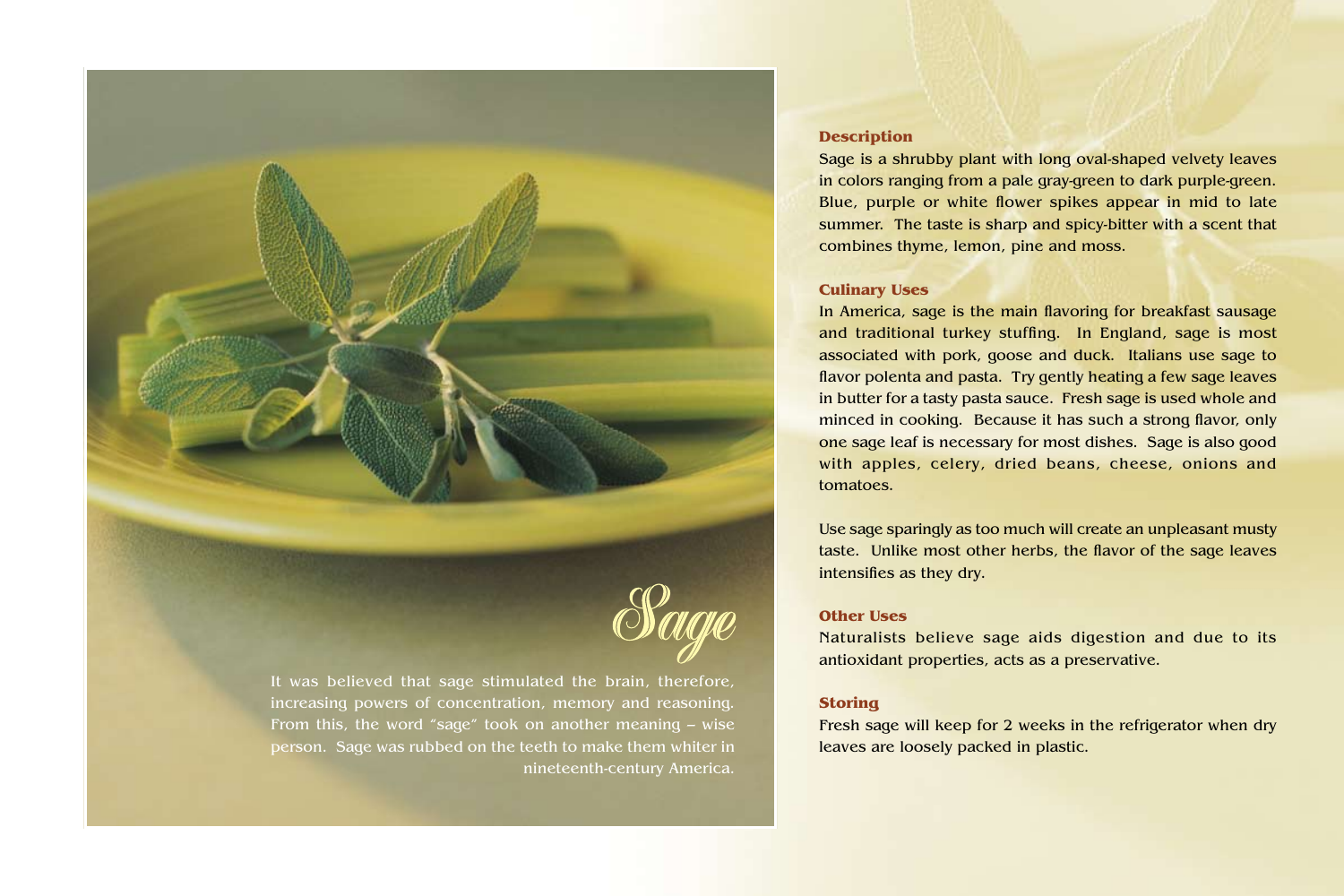

It was believed that sage stimulated the brain, therefore, increasing powers of concentration, memory and reasoning. From this, the word "sage" took on another meaning – wise person. Sage was rubbed on the teeth to make them whiter in nineteenth-century America.

# **Description**

Sage is a shrubby plant with long oval-shaped velvety leaves in colors ranging from a pale gray-green to dark purple-green. Blue, purple or white flower spikes appear in mid to late summer. The taste is sharp and spicy-bitter with a scent that combines thyme, lemon, pine and moss.

### **Culinary Uses**

In America, sage is the main flavoring for breakfast sausage and traditional turkey stuffing. In England, sage is most associated with pork, goose and duck. Italians use sage to flavor polenta and pasta. Try gently heating a few sage leaves in butter for a tasty pasta sauce. Fresh sage is used whole and minced in cooking. Because it has such a strong flavor, only one sage leaf is necessary for most dishes. Sage is also good with apples, celery, dried beans, cheese, onions and tomatoes.

Use sage sparingly as too much will create an unpleasant musty taste. Unlike most other herbs, the flavor of the sage leaves intensifies as they dry.

## **Other Uses**

Naturalists believe sage aids digestion and due to its antioxidant properties, acts as a preservative.

## **Storing**

Fresh sage will keep for 2 weeks in the refrigerator when dry leaves are loosely packed in plastic.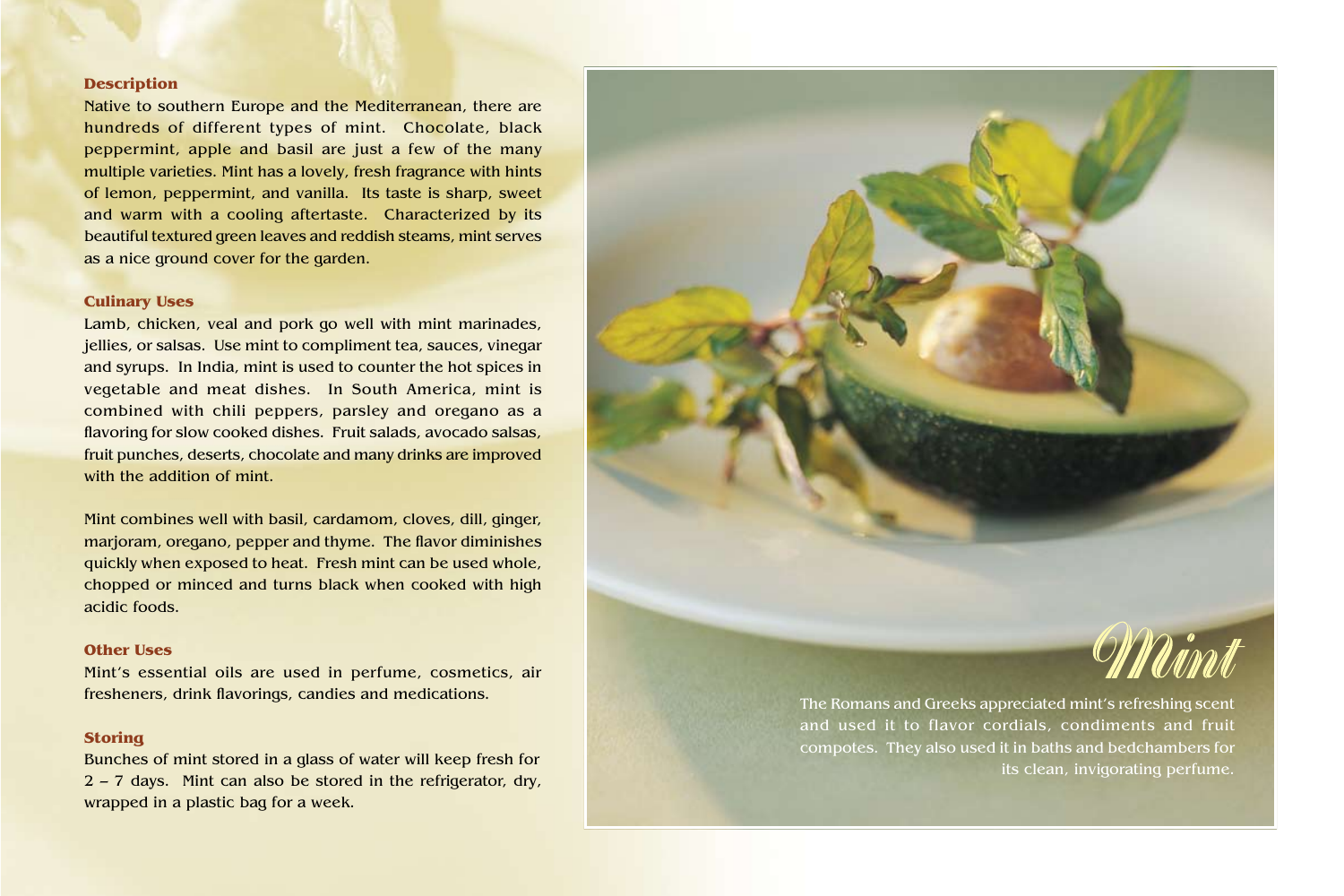Native to southern Europe and the Mediterranean, there are hundreds of different types of mint. Chocolate, black peppermint, apple and basil are just a few of the many multiple varieties. Mint has a lovely, fresh fragrance with hints of lemon, peppermint, and vanilla. Its taste is sharp, sweet and warm with a cooling aftertaste. Characterized by its beautiful textured green leaves and reddish steams, mint serves as a nice ground cover for the garden.

#### **Culinary Uses**

Lamb, chicken, veal and pork go well with mint marinades, jellies, or salsas. Use mint to compliment tea, sauces, vinegar and syrups. In India, mint is used to counter the hot spices in vegetable and meat dishes. In South America, mint is combined with chili peppers, parsley and oregano as a flavoring for slow cooked dishes. Fruit salads, avocado salsas, fruit punches, deserts, chocolate and many drinks are improved with the addition of mint.

Mint combines well with basil, cardamom, cloves, dill, ginger, marjoram, oregano, pepper and thyme. The flavor diminishes quickly when exposed to heat. Fresh mint can be used whole, chopped or minced and turns black when cooked with high acidic foods.

#### **Other Uses**

Mint's essential oils are used in perfume, cosmetics, air fresheners, drink flavorings, candies and medications.

## **Storing**

Bunches of mint stored in a glass of water will keep fresh for 2 – 7 days. Mint can also be stored in the refrigerator, dry, wrapped in a plastic bag for a week.



The Romans and Greeks appreciated mint's refreshing scent and used it to flavor cordials, condiments and fruit compotes. They also used it in baths and bedchambers for its clean, invigorating perfume.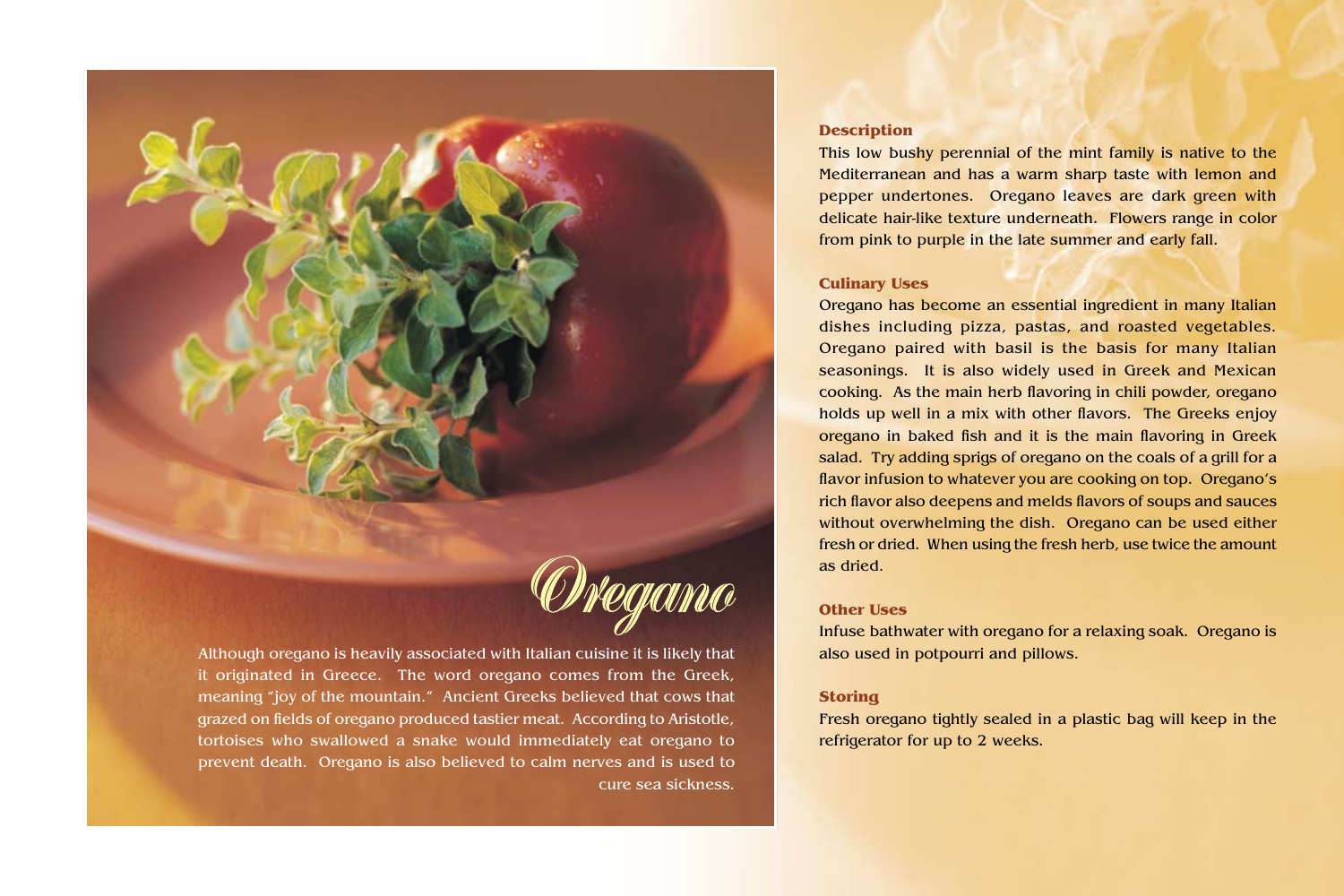

Although oregano is heavily associated with Italian cuisine it is likely that it originated in Greece. The word oregano comes from the Greek, meaning "joy of the mountain." Ancient Greeks believed that cows that grazed on fields of oregano produced tastier meat. According to Aristotle, tortoises who swallowed a snake would immediately eat oregano to prevent death. Oregano is also believed to calm nerves and is used to cure sea sickness.

# **Description**

This low bushy perennial of the mint family is native to the Mediterranean and has a warm sharp taste with lemon and pepper undertones. Oregano leaves are dark green with delicate hair-like texture underneath. Flowers range in color from pink to purple in the late summer and early fall.

#### **Culinary Uses**

Oregano has become an essential ingredient in many Italian dishes including pizza, pastas, and roasted vegetables. Oregano paired with basil is the basis for many Italian seasonings. It is also widely used in Greek and Mexican cooking. As the main herb flavoring in chili powder, oregano holds up well in a mix with other flavors. The Greeks enjoy oregano in baked fish and it is the main flavoring in Greek salad. Try adding sprigs of oregano on the coals of a grill for a flavor infusion to whatever you are cooking on top. Oregano's rich flavor also deepens and melds flavors of soups and sauces without overwhelming the dish. Oregano can be used either fresh or dried. When using the fresh herb, use twice the amount as dried.

### **Other Uses**

Infuse bathwater with oregano for a relaxing soak. Oregano is also used in potpourri and pillows.

### **Storing**

Fresh oregano tightly sealed in a plastic bag will keep in the refrigerator for up to 2 weeks.